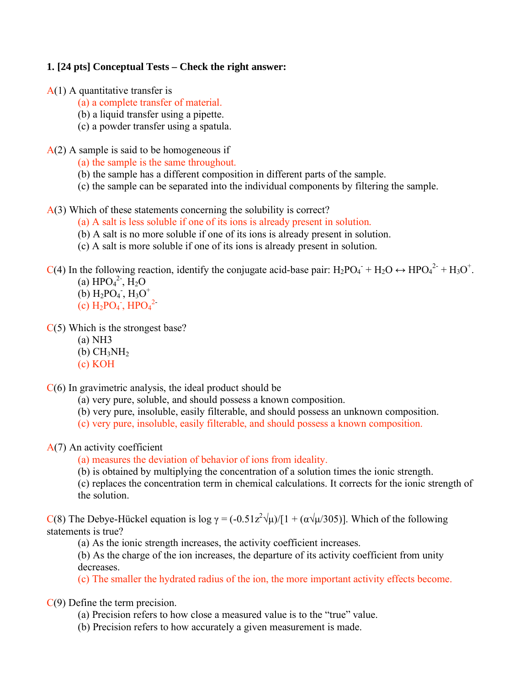#### **1. [24 pts] Conceptual Tests – Check the right answer:**

- $A(1)$  A quantitative transfer is
	- (a) a complete transfer of material.
	- (b) a liquid transfer using a pipette.
	- (c) a powder transfer using a spatula.
- $A(2)$  A sample is said to be homogeneous if
	- (a) the sample is the same throughout.
	- (b) the sample has a different composition in different parts of the sample.
	- (c) the sample can be separated into the individual components by filtering the sample.

#### A(3) Which of these statements concerning the solubility is correct?

- (a) A salt is less soluble if one of its ions is already present in solution.
- (b) A salt is no more soluble if one of its ions is already present in solution.
- (c) A salt is more soluble if one of its ions is already present in solution.

 $C(4)$  In the following reaction, identify the conjugate acid-base pair:  $H_2PO_4^- + H_2O \leftrightarrow \text{HPO}_4^{2-} + H_3O^+$ .

(a)  $HPO<sub>4</sub><sup>2</sup>$ ,  $H<sub>2</sub>O$  $(b)$  H<sub>2</sub>PO<sub>4</sub>, H<sub>3</sub>O<sup>+</sup>  $(c)$  H<sub>2</sub>PO<sub>4</sub>, HPO<sub>4</sub><sup>2</sup>

 $C(5)$  Which is the strongest base?

- (a) NH3
- $(b)$  CH<sub>3</sub>NH<sub>2</sub>
- (c) KOH

C(6) In gravimetric analysis, the ideal product should be

(a) very pure, soluble, and should possess a known composition.

- (b) very pure, insoluble, easily filterable, and should possess an unknown composition.
- (c) very pure, insoluble, easily filterable, and should possess a known composition.

A(7) An activity coefficient

(a) measures the deviation of behavior of ions from ideality.

(b) is obtained by multiplying the concentration of a solution times the ionic strength.

(c) replaces the concentration term in chemical calculations. It corrects for the ionic strength of the solution.

C(8) The Debye-Hückel equation is  $\log \gamma = (-0.51z^2/\mu)/[1 + (\alpha/\mu/305)]$ . Which of the following statements is true?

(a) As the ionic strength increases, the activity coefficient increases.

(b) As the charge of the ion increases, the departure of its activity coefficient from unity decreases.

(c) The smaller the hydrated radius of the ion, the more important activity effects become.

C(9) Define the term precision.

- (a) Precision refers to how close a measured value is to the "true" value.
- (b) Precision refers to how accurately a given measurement is made.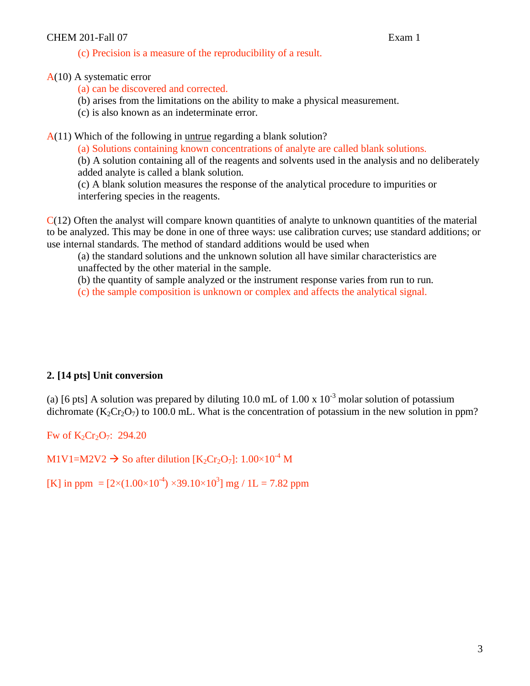#### CHEM 201-Fall 07 Exam 1

(c) Precision is a measure of the reproducibility of a result.

#### A(10) A systematic error

(a) can be discovered and corrected.

(b) arises from the limitations on the ability to make a physical measurement.

(c) is also known as an indeterminate error.

A(11) Which of the following in untrue regarding a blank solution?

(a) Solutions containing known concentrations of analyte are called blank solutions.

(b) A solution containing all of the reagents and solvents used in the analysis and no deliberately added analyte is called a blank solution.

(c) A blank solution measures the response of the analytical procedure to impurities or interfering species in the reagents.

 $C(12)$  Often the analyst will compare known quantities of analyte to unknown quantities of the material to be analyzed. This may be done in one of three ways: use calibration curves; use standard additions; or use internal standards. The method of standard additions would be used when

(a) the standard solutions and the unknown solution all have similar characteristics are unaffected by the other material in the sample.

(b) the quantity of sample analyzed or the instrument response varies from run to run.

(c) the sample composition is unknown or complex and affects the analytical signal.

### **2. [14 pts] Unit conversion**

(a) [6 pts] A solution was prepared by diluting 10.0 mL of 1.00 x  $10^{-3}$  molar solution of potassium dichromate ( $K_2Cr_2O_7$ ) to 100.0 mL. What is the concentration of potassium in the new solution in ppm?

Fw of  $K_2Cr_2O_7$ : 294.20

M1V1=M2V2  $\rightarrow$  So after dilution [K<sub>2</sub>Cr<sub>2</sub>O<sub>7</sub>]: 1.00×10<sup>-4</sup> M

[K] in ppm =  $[2 \times (1.00 \times 10^{-4}) \times 39.10 \times 10^{3}]$  mg / 1L = 7.82 ppm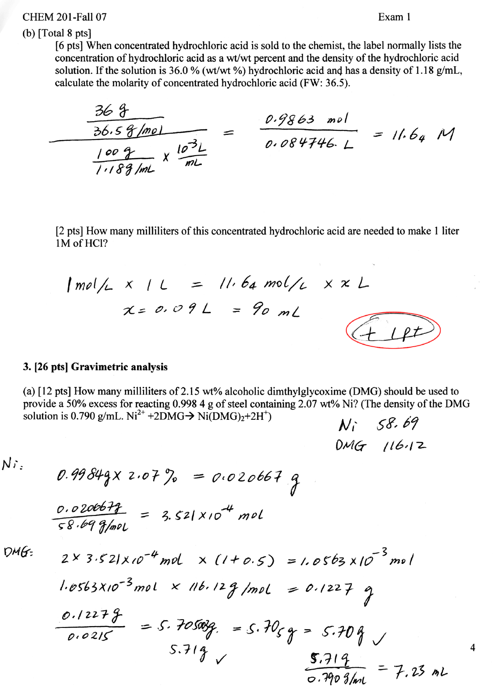## **CHEM 201-Fall 07**

## Exam 1

## (b)  $[Total 8 pts]$

[6 pts] When concentrated hydrochloric acid is sold to the chemist, the label normally lists the concentration of hydrochloric acid as a wt/wt percent and the density of the hydrochloric acid solution. If the solution is 36.0 % (wt/wt %) hydrochloric acid and has a density of 1.18 g/mL, calculate the molarity of concentrated hydrochloric acid (FW: 36.5).

 $\frac{369}{\frac{36.58}{1189}}$   $\times \frac{10^{3}L}{mL}$  =  $\frac{0.9863}{0.084746}$  = 11.64 M

[2 pts] How many milliliters of this concentrated hydrochloric acid are needed to make 1 liter 1M of HCl?

 $|mol/L \times |L = ||.64 mol/L \times X L$ 

 $x = 0.09L = 90mL$ 



## 3. [26 pts] Gravimetric analysis

(a) [12 pts] How many milliliters of 2.15 wt% alcoholic dimthylgly coxime (DMG) should be used to provide a 50% excess for reacting 0.998 4 g of steel containing 2.07 wt% Ni? (The density of the DMG solution is 0.790 g/mL.  $Ni^{2+} + 2DMG \rightarrow Ni(DMG)<sub>2</sub>+2H<sup>+</sup>$ )  $N_1$  58.69

 $DMG116.12$ 

 $N$ i:

 $0.99849x2.07% = 0.020667$ 

 $\frac{0.0206678}{58.699$ mol = 3.521×10<sup>-4</sup> mol

 $DMG$ 

 $2 \times 3.52$ |xio<sup>-4</sup> mol x (1+0.5) = 1.0563 x10<sup>-5</sup> mol

 $1.0563X10^{-3}$  mol  $\times$  11b.12g/mol = 0.1227 g  $0.12279$ <br> $0.0215$  $=5.705039$  $= 5.70<sub>59</sub> = 5.709$  $5.719$  $5.719$ <br>0.790 g/ml  $= 7.23$  mL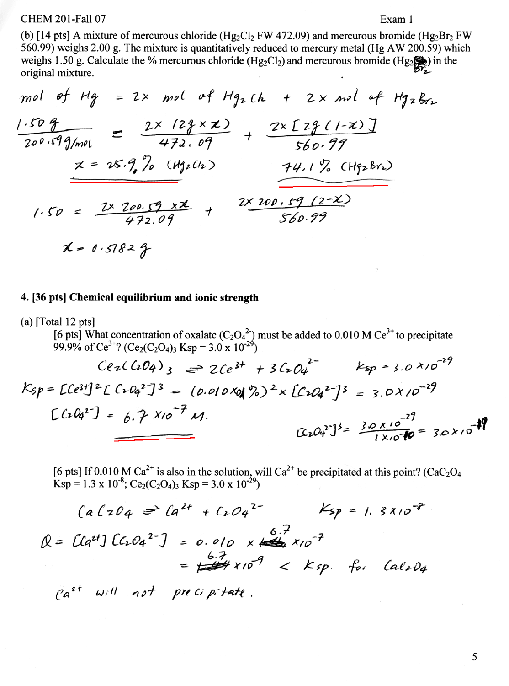**CHEM 201-Fall 07** 

### Exam 1

the contract of the contract of the contract of the contract of the contract of the contract of

(b) [14 pts] A mixture of mercurous chloride ( $Hg_2Cl_2$  FW 472.09) and mercurous bromide ( $Hg_2Br_2$  FW 560.99) weighs 2.00 g. The mixture is quantitatively reduced to mercury metal (Hg AW 200.59) which weighs 1.50 g. Calculate the % mercurous chloride (Hg<sub>2</sub>Cl<sub>2</sub>) and mercurous bromide (Hg<sub>2</sub> $\left(\frac{1}{2}\right)$ ) in the original mixture. the control of the control of the  $\bullet$ 

mol of Hg = 2x mol of Hg<sub>2</sub>th + 2x mol of Hg<sub>2</sub>g<sub>2</sub>  
\n
$$
\frac{1.50 g}{200.59 g/mol} = \frac{2x (23 \times x)}{472.09} + \frac{2x [2g(1-x)]}{560.99}
$$
\n
$$
x = 25.9, 70 (Hg2th) + 17, 6 Hg2Br2
$$
\n
$$
1.50 = \frac{2x 200.59 \times x}{472.09} + \frac{2x 200.59 (2-x)}{560.99}
$$

 $x = 0.57829$ 

### 4. [36 pts] Chemical equilibrium and ionic strength

(a) [Total 12 pts]  
\n[6 pts] What concentration of oxalate (C<sub>2</sub>O<sub>4</sub><sup>2</sup>) must be added to 0.010 M Ce<sup>3+</sup> to precipitate  
\n99.9% of Ce<sup>3+</sup>? (Ce<sub>2</sub>(C<sub>2</sub>O<sub>4</sub>)<sub>3</sub> Ksp = 3.0 x 10<sup>-29</sup>)  
\n
$$
Ce2(C2O4)3 \implies 2Ce3+ + 3C2O42- Ksp \implies ; . \rho \times \rho^{-29}
$$
\n
$$
Ksp = [Ce3+] 2[C2O42-] 3 = (0.010 Xq | 22)2 \times [C2O42-] 3 = 3.0 x 10-29
$$
\n
$$
[C2O42-] 3 = \frac{3.0 x 10-29}{1 x 10-29}\n
$$
[C2O42-] 3 = \frac{3.0 x 10-29}{1 x 10-29} = 3.0 x 10-19
$$
$$

[6 pts] If 0.010 M Ca<sup>2+</sup> is also in the solution, will Ca<sup>2+</sup> be precipitated at this point? (CaC<sub>2</sub>O<sub>4</sub> Ksp = 1.3 x 10<sup>-8</sup>; Ce<sub>2</sub>(C<sub>2</sub>O<sub>4</sub>)<sub>3</sub> Ksp = 3.0 x 10<sup>-29</sup>)

$$
(a(204) = (a^{2+} + 1.04^{2-} \text{Ksp} = 1.3810^{-8})
$$
  
Q = [a^{2+}] [(1.04^{2-}] = 0.010 \times 10^{2} \text{Kpc}^2] = 6.7 \times 10^{-7} \times 10^{-7} \times 10^{-7} \times 10^{-7} \times 10^{-7} \times 10^{-7} \times 10^{-7} \times 10^{-7} \times 10^{-7} \times 10^{-7} \times 10^{-7} \times 10^{-7} \times 10^{-7} \times 10^{-7} \times 10^{-7} \times 10^{-7} \times 10^{-7} \times 10^{-7} \times 10^{-7} \times 10^{-7} \times 10^{-7} \times 10^{-7} \times 10^{-7} \times 10^{-7} \times 10^{-7} \times 10^{-7} \times 10^{-7} \times 10^{-7} \times 10^{-7} \times 10^{-7} \times 10^{-7} \times 10^{-7} \times 10^{-7} \times 10^{-7} \times 10^{-7} \times 10^{-7} \times 10^{-7} \times 10^{-7} \times 10^{-7} \times 10^{-7} \times 10^{-7} \times 10^{-7} \times 10^{-7} \times 10^{-7} \times 10^{-7} \times 10^{-7} \times 10^{-7} \times 10^{-7} \times 10^{-7} \times 10^{-7} \times 10^{-7} \times 10^{-7} \times 10^{-7} \times 10^{-7} \times 10^{-7} \times 10^{-7} \times 10^{-7} \times 10^{-7} \times 10^{-7} \times 10^{-7} \times 10^{-7} \times 10^{-7} \times 10^{-7} \times 10^{-7} \times 10^{-7} \times 10^{-7} \times 10^{-7} \times 10^{-7} \times 10^{-7} \times 10^{-7} \times 10^{-7} \times 10^{-7} \times 10^{-7} \times 10^{-7} \times 10^{-7} \times 10^{-7} \times 10^{-7} \times 10^{-7} \times 10^{-7} \times 10^{-7} \times 10^{-7} \times 10^{-7} \times 10^{-7} \times 1

 $\mathcal{L} = \{1,2,3,4,5\}$ 

 $\mathcal{F}^{\mathcal{A}}_{\mathcal{A}}$  . The  $\mathcal{A}^{\mathcal{A}}_{\mathcal{A}}$ 

 $Ca^{2t}$  will not precipitate.

the contract of the contract of the contract